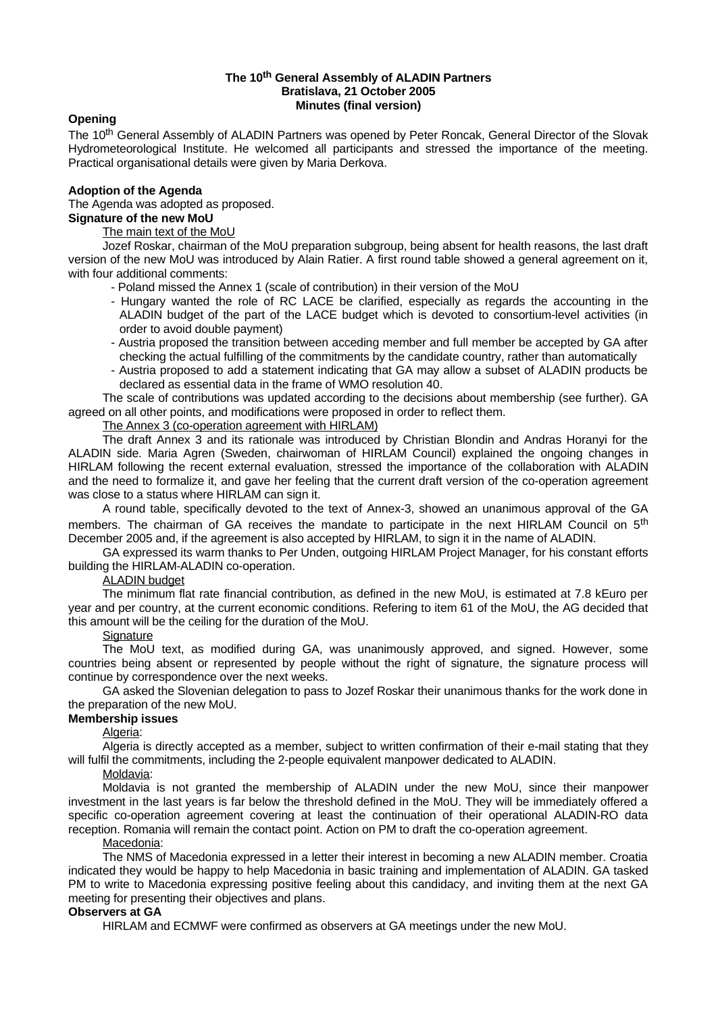#### **The 10 th General Assembly of ALADIN Partners Bratislava, 21 October 2005 Minutes (final version)**

#### **Opening**

The 10<sup>th</sup> General Assembly of ALADIN Partners was opened by Peter Roncak, General Director of the Slovak Hydrometeorological Institute. He welcomed all participants and stressed the importance of the meeting. Practical organisational details were given by Maria Derkova.

## **Adoption of the Agenda**

The Agenda was adopted as proposed. **Signature of the new MoU**

#### The main text of the MoU

Jozef Roskar, chairman of the MoU preparation subgroup, being absent for health reasons, the last draft version of the new MoU was introduced by Alain Ratier. A first round table showed a general agreement on it, with four additional comments:

- Poland missed the Annex 1 (scale of contribution) in their version of the MoU
- Hungary wanted the role of RC LACE be clarified, especially as regards the accounting in the ALADIN budget of the part of the LACE budget which is devoted to consortium-level activities (in order to avoid double payment)
- Austria proposed the transition between acceding member and full member be accepted by GA after checking the actual fulfilling of the commitments by the candidate country, rather than automatically
- Austria proposed to add a statement indicating that GA may allow a subset of ALADIN products be declared as essential data in the frame of WMO resolution 40.

The scale of contributions was updated according to the decisions about membership (see further). GA agreed on all other points, and modifications were proposed in order to reflect them.

The Annex 3 (co-operation agreement with HIRLAM)

The draft Annex 3 and its rationale was introduced by Christian Blondin and Andras Horanyi for the ALADIN side. Maria Agren (Sweden, chairwoman of HIRLAM Council) explained the ongoing changes in HIRLAM following the recent external evaluation, stressed the importance of the collaboration with ALADIN and the need to formalize it, and gave her feeling that the current draft version of the co-operation agreement was close to a status where HIRLAM can sign it.

A round table, specifically devoted to the text of Annex-3, showed an unanimous approval of the GA members. The chairman of GA receives the mandate to participate in the next HIRLAM Council on 5<sup>th</sup> December 2005 and, if the agreement is also accepted by HIRLAM, to sign it in the name of ALADIN.

GA expressed its warm thanks to Per Unden, outgoing HIRLAM Project Manager, for his constant efforts building the HIRLAM-ALADIN co-operation.

# ALADIN budget

The minimum flat rate financial contribution, as defined in the new MoU, is estimated at 7.8 kEuro per year and per country, at the current economic conditions. Refering to item 61 of the MoU, the AG decided that this amount will be the ceiling for the duration of the MoU.

# **Signature**

The MoU text, as modified during GA, was unanimously approved, and signed. However, some countries being absent or represented by people without the right of signature, the signature process will continue by correspondence over the next weeks.

GA asked the Slovenian delegation to pass to Jozef Roskar their unanimous thanks for the work done in the preparation of the new MoU.

## **Membership issues**

#### Algeria:

Algeria is directly accepted as a member, subject to written confirmation of their e-mail stating that they will fulfil the commitments, including the 2-people equivalent manpower dedicated to ALADIN.

#### Moldavia:

Moldavia is not granted the membership of ALADIN under the new MoU, since their manpower investment in the last years is far below the threshold defined in the MoU. They will be immediately offered a specific co-operation agreement covering at least the continuation of their operational ALADIN-RO data reception. Romania will remain the contact point. Action on PM to draft the co-operation agreement.

#### Macedonia:

The NMS of Macedonia expressed in a letter their interest in becoming a new ALADIN member. Croatia indicated they would be happy to help Macedonia in basic training and implementation of ALADIN. GA tasked PM to write to Macedonia expressing positive feeling about this candidacy, and inviting them at the next GA meeting for presenting their objectives and plans.

#### **Observers at GA**

HIRLAM and ECMWF were confirmed as observers at GA meetings under the new MoU.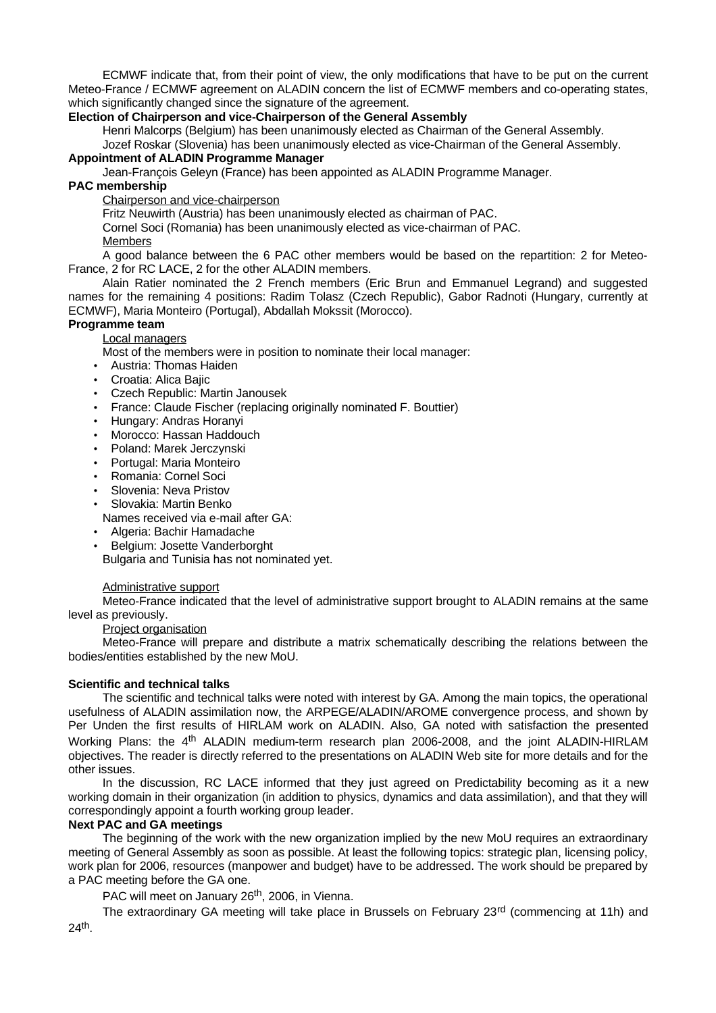ECMWF indicate that, from their point of view, the only modifications that have to be put on the current Meteo-France / ECMWF agreement on ALADIN concern the list of ECMWF members and co-operating states, which significantly changed since the signature of the agreement.

#### **Election of Chairperson and vice-Chairperson of the General Assembly**

Henri Malcorps (Belgium) has been unanimously elected as Chairman of the General Assembly.

Jozef Roskar (Slovenia) has been unanimously elected as vice-Chairman of the General Assembly.

#### **Appointment of ALADIN Programme Manager**

Jean-François Geleyn (France) has been appointed as ALADIN Programme Manager.

# **PAC membership**

Chairperson and vice-chairperson

Fritz Neuwirth (Austria) has been unanimously elected as chairman of PAC.

Cornel Soci (Romania) has been unanimously elected as vice-chairman of PAC.

**Members** 

A good balance between the 6 PAC other members would be based on the repartition: 2 for Meteo-France, 2 for RC LACE, 2 for the other ALADIN members.

Alain Ratier nominated the 2 French members (Eric Brun and Emmanuel Legrand) and suggested names for the remaining 4 positions: Radim Tolasz (Czech Republic), Gabor Radnoti (Hungary, currently at ECMWF), Maria Monteiro (Portugal), Abdallah Mokssit (Morocco).

# **Programme team**

## Local managers

Most of the members were in position to nominate their local manager:

- Austria: Thomas Haiden
- Croatia: Alica Bajic
- Czech Republic: Martin Janousek
- France: Claude Fischer (replacing originally nominated F. Bouttier)
- Hungary: Andras Horanyi
- Morocco: Hassan Haddouch
- Poland: Marek Jerczynski
- Portugal: Maria Monteiro
- Romania: Cornel Soci
- Slovenia: Neva Pristov
- Slovakia: Martin Benko
- Names received via e-mail after GA:
- Algeria: Bachir Hamadache
- Belgium: Josette Vanderborght Bulgaria and Tunisia has not nominated yet.

# Administrative support

Meteo-France indicated that the level of administrative support brought to ALADIN remains at the same level as previously.

#### Project organisation

Meteo-France will prepare and distribute a matrix schematically describing the relations between the bodies/entities established by the new MoU.

# **Scientific and technical talks**

The scientific and technical talks were noted with interest by GA. Among the main topics, the operational usefulness of ALADIN assimilation now, the ARPEGE/ALADIN/AROME convergence process, and shown by Per Unden the first results of HIRLAM work on ALADIN. Also, GA noted with satisfaction the presented Working Plans: the 4<sup>th</sup> ALADIN medium-term research plan 2006-2008, and the joint ALADIN-HIRLAM objectives. The reader is directly referred to the presentations on ALADIN Web site for more details and for the other issues.

In the discussion, RC LACE informed that they just agreed on Predictability becoming as it a new working domain in their organization (in addition to physics, dynamics and data assimilation), and that they will correspondingly appoint a fourth working group leader.

# **Next PAC and GA meetings**

The beginning of the work with the new organization implied by the new MoU requires an extraordinary meeting of General Assembly as soon as possible. At least the following topics: strategic plan, licensing policy, work plan for 2006, resources (manpower and budget) have to be addressed. The work should be prepared by a PAC meeting before the GA one.

PAC will meet on January 26<sup>th</sup>, 2006, in Vienna.

The extraordinary GA meeting will take place in Brussels on February 23<sup>rd</sup> (commencing at 11h) and 24<sup>th</sup>.